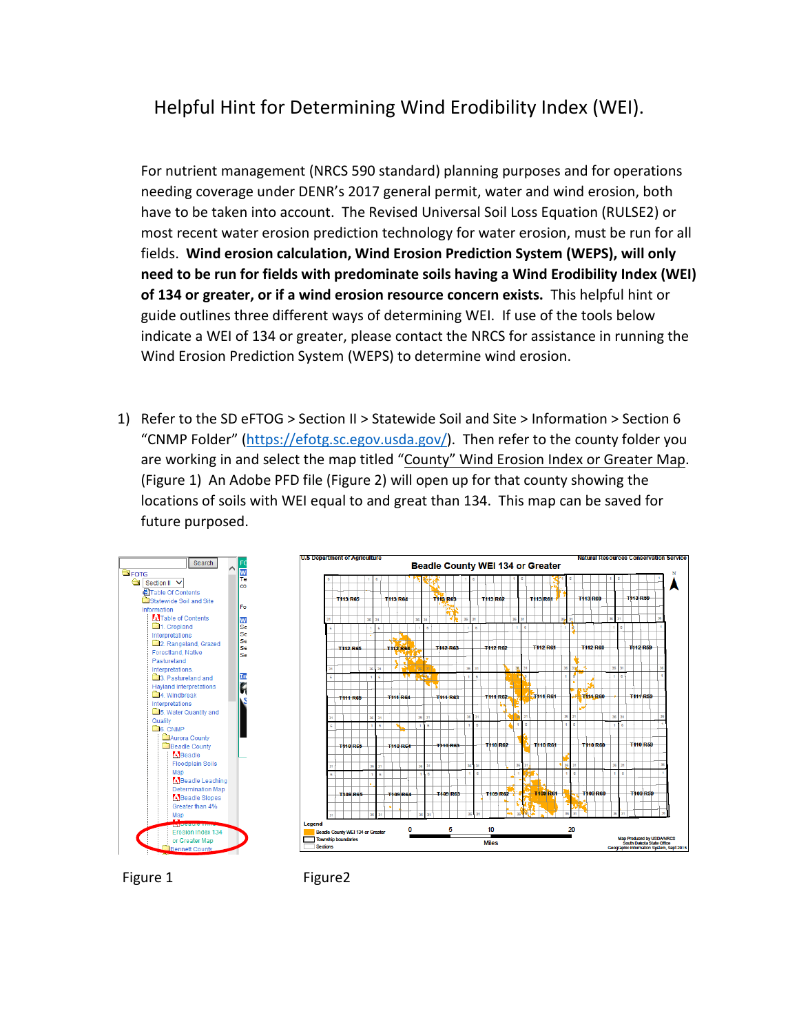## Helpful Hint for Determining Wind Erodibility Index (WEI).

For nutrient management (NRCS 590 standard) planning purposes and for operations needing coverage under DENR's 2017 general permit, water and wind erosion, both have to be taken into account. The Revised Universal Soil Loss Equation (RULSE2) or most recent water erosion prediction technology for water erosion, must be run for all fields. **Wind erosion calculation, Wind Erosion Prediction System (WEPS), will only need to be run for fields with predominate soils having a Wind Erodibility Index (WEI) of 134 or greater, or if a wind erosion resource concern exists.** This helpful hint or guide outlines three different ways of determining WEI. If use of the tools below indicate a WEI of 134 or greater, please contact the NRCS for assistance in running the Wind Erosion Prediction System (WEPS) to determine wind erosion.

1) Refer to the SD eFTOG > Section II > Statewide Soil and Site > Information > Section 6 "CNMP Folder" [\(https://efotg.sc.egov.usda.gov/\)](https://efotg.sc.egov.usda.gov/). Then refer to the county folder you are working in and select the map titled "County" Wind Erosion Index or Greater Map. (Figure 1) An Adobe PFD file (Figure 2) will open up for that county showing the locations of soils with WEI equal to and great than 134. This map can be saved for future purposed.





Figure 1 Figure 2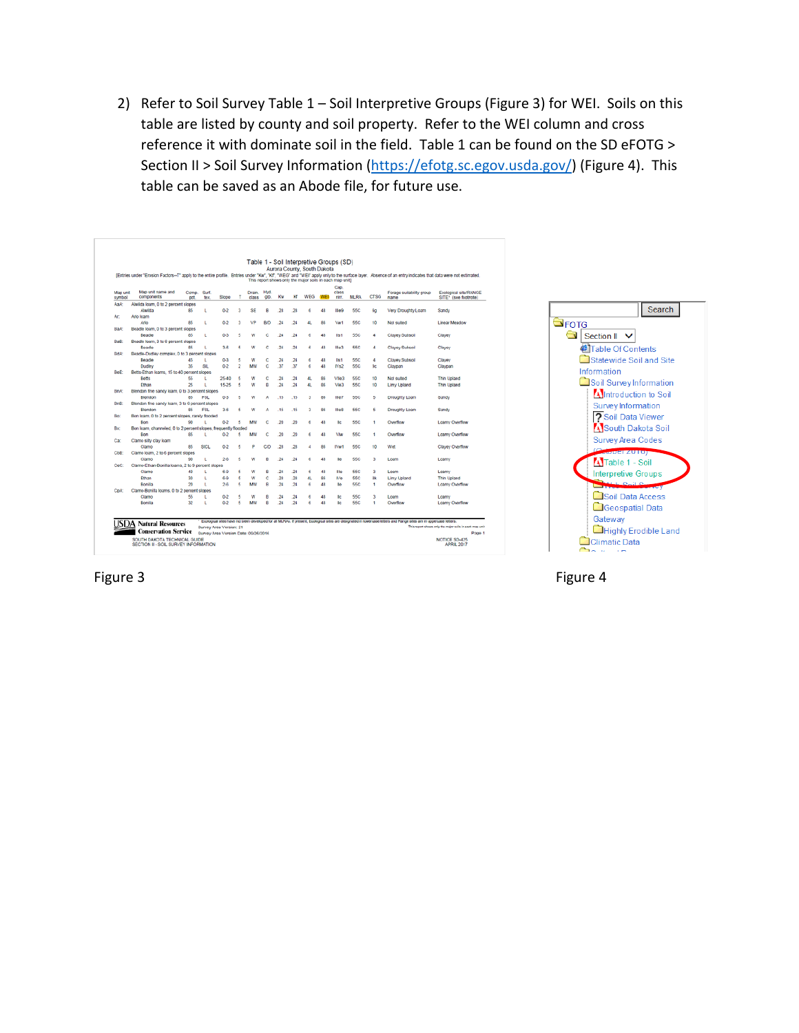2) Refer to Soil Survey Table 1 – Soil Interpretive Groups (Figure 3) for WEI. Soils on this table are listed by county and soil property. Refer to the WEI column and cross reference it with dominate soil in the field. Table 1 can be found on the SD eFOTG > Section II > Soil Survey Information [\(https://efotg.sc.egov.usda.gov/\)](https://efotg.sc.egov.usda.gov/) (Figure 4). This table can be saved as an Abode file, for future use.

|                    |                                                                                         |                     |             |                                                                 |                |                 |                          |         |         | Aurora County, South Dakota<br>This report shows only the major soils in each map unit) |     |                       |             |             | (Entries under "Erosion Factors--T" apply to the entire profile. Entries under "Kw", "Kf", "WEG" and "WEI" apply only to the surface layer. Absence of an entry indicates that data were not estimated. |                                                                                    |
|--------------------|-----------------------------------------------------------------------------------------|---------------------|-------------|-----------------------------------------------------------------|----------------|-----------------|--------------------------|---------|---------|-----------------------------------------------------------------------------------------|-----|-----------------------|-------------|-------------|---------------------------------------------------------------------------------------------------------------------------------------------------------------------------------------------------------|------------------------------------------------------------------------------------|
| Map unit<br>symbol | Map unit name and<br>components                                                         | Comp.<br><b>pct</b> | Surf<br>tex | Slope                                                           | ×              | Drain.<br>class | <b>Hyd</b><br><b>O'D</b> | Кw      | ю       | WEG                                                                                     | WEI | Csp.<br>class<br>nin. | <b>MLRA</b> | <b>CTSG</b> | Forage suitability group<br>name                                                                                                                                                                        | Ecological site/RANGE<br>SITE* (see footnote)                                      |
| AaA:               | Alwilda loam, 0 to 2 percent slopes                                                     |                     |             |                                                                 |                |                 |                          |         |         |                                                                                         |     |                       |             |             |                                                                                                                                                                                                         |                                                                                    |
|                    | Alwilda                                                                                 | 85                  | ι           | $0-2$                                                           | з              | SF              | я                        | 28      | 28      | 6                                                                                       | 48  | Ille9                 | <b>55C</b>  | 60          | Very Droughty Loam                                                                                                                                                                                      | Sandy                                                                              |
| Ar:                | Ario loam                                                                               |                     |             |                                                                 |                |                 |                          |         |         |                                                                                         |     |                       |             |             |                                                                                                                                                                                                         |                                                                                    |
|                    | Ario                                                                                    | 85                  | ٠           | 0.2                                                             | ٩              | VP              | <b>B/D</b>               | 24      | 24      | 41.                                                                                     | 86  | <b>Vw1</b>            | 55C         | 10          | Not suited                                                                                                                                                                                              | <b>Linear Meadow</b>                                                               |
| BaA:               | Beadle loam, 0 to 3 percent slopes                                                      |                     |             |                                                                 |                |                 |                          |         |         |                                                                                         |     |                       |             |             |                                                                                                                                                                                                         |                                                                                    |
|                    | Beadle                                                                                  | 85                  | ι           | $0 - 3$                                                         | 5              | w               | Ċ                        | 24      | 24      | 6                                                                                       | 48  | list                  | <b>55C</b>  | ٠           | Clayev Subsoil                                                                                                                                                                                          | Clayer                                                                             |
| BaB:               | Beadle loam, 3 to 6 percent slopes                                                      |                     |             |                                                                 |                |                 |                          |         |         |                                                                                         |     |                       |             |             |                                                                                                                                                                                                         |                                                                                    |
|                    | Beadle                                                                                  | 85                  |             | $3-6$                                                           | 5              | w               | c                        | 24      | 24      | 6                                                                                       | 48  | <b>Hie3</b>           | 55C         | 4           | Clayey Subsoil                                                                                                                                                                                          | Clayer                                                                             |
| BdA:               | Beadle-Dudley complex, 0 to 3 percent slopes                                            |                     |             |                                                                 |                |                 |                          |         |         |                                                                                         |     |                       |             |             |                                                                                                                                                                                                         |                                                                                    |
|                    | Beadle                                                                                  | 45                  |             | $0-3$                                                           | 5              | W               | c                        | 24      | 24      | 6                                                                                       | 48  | lis1                  | <b>55C</b>  | 4           | Clayey Subsoil                                                                                                                                                                                          | Clayey                                                                             |
|                    | Dudley                                                                                  | 35                  | SIL         | $0-2$                                                           | $\overline{2}$ | MW              | c                        | 37      | 37      | 6                                                                                       | 48  | N <sub>52</sub>       | <b>55C</b>  | 90          | Claypan                                                                                                                                                                                                 | Claypan                                                                            |
| BeE:               | Betts-Ethan loams, 15 to 40 percent slopes                                              |                     |             |                                                                 |                |                 |                          |         |         |                                                                                         |     |                       |             |             |                                                                                                                                                                                                         |                                                                                    |
|                    | <b>Rette</b>                                                                            | 66                  | ı           | 25-40                                                           | £,             | w               | Ċ                        | $^{24}$ | 24      | 41                                                                                      | 86  | Vile3                 | <b>55C</b>  | 10          | Not suited                                                                                                                                                                                              | Thin Upland                                                                        |
|                    | Ethan                                                                                   | 25                  | t           | 15-25                                                           | 5              | W               | R                        | 24      | 24      | 41.                                                                                     | 86  | VIA3                  | 55C         | 10          | Limy Upland                                                                                                                                                                                             | <b>Thin Upland</b>                                                                 |
| BnA:               | Blendon fine sandy loam, 0 to 3 percent slopes                                          |                     |             |                                                                 |                |                 |                          |         |         |                                                                                         |     |                       |             |             |                                                                                                                                                                                                         |                                                                                    |
|                    | Blendon                                                                                 | 85                  | FSL         | $0-3$                                                           | 5              | W               | ۸                        | .15     | .15     | з                                                                                       | 86  | Ille7                 | <b>55C</b>  | 5           | Droughty Loam                                                                                                                                                                                           | Sandy                                                                              |
| BnB:<br>Bo:        | Blendon fine sandy loam, 3 to 6 percent slopes                                          |                     |             |                                                                 |                |                 |                          |         |         |                                                                                         |     |                       |             |             |                                                                                                                                                                                                         |                                                                                    |
|                    | Blendon                                                                                 | 85                  | FSL         | 36                                                              | 6              | W               | А                        | 15      | .15     | 3                                                                                       | 86  | Ille8                 | <b>55C</b>  | 5           | Droughty Loam                                                                                                                                                                                           | Sandy                                                                              |
|                    | Bon loam, 0 to 2 percent slopes, rarely flooded                                         |                     |             |                                                                 |                |                 |                          |         |         |                                                                                         |     |                       |             |             |                                                                                                                                                                                                         |                                                                                    |
|                    | Bon                                                                                     | 90                  |             | $0 - 2$                                                         | 5              | MW              | Ċ                        | 20      | 20      | ó                                                                                       | 40  | IIc                   | 55C         | 1           | Overflow                                                                                                                                                                                                | Loamy Overflow                                                                     |
| Bx                 | Bon loam, channeled, 0 to 2 percent slopes, frequently flooded                          |                     |             |                                                                 |                |                 |                          |         |         |                                                                                         |     |                       |             |             |                                                                                                                                                                                                         |                                                                                    |
|                    | Bon                                                                                     | 85                  |             | $0-2$                                                           | 5              | <b>MW</b>       | c                        | 20      | 20      | 6                                                                                       | 48  | VW                    | 55C         | ٠           | Overflow                                                                                                                                                                                                | Loamy Overflow                                                                     |
| Car                | Clamo silty clay loam                                                                   |                     |             |                                                                 |                |                 |                          |         |         |                                                                                         |     |                       |             |             |                                                                                                                                                                                                         |                                                                                    |
|                    | Clamo                                                                                   | 85                  | SICL.       | $0-2$                                                           | 5              | P               | C/D                      | 28      | .28     | A                                                                                       | 86  | IVw1                  | <b>55C</b>  | 10          | Wet                                                                                                                                                                                                     | Clayey Overflow                                                                    |
| CbB:               | Clamo loam, 2 to 6 percent slopes                                                       |                     |             |                                                                 |                |                 |                          |         |         |                                                                                         |     |                       |             |             |                                                                                                                                                                                                         |                                                                                    |
|                    | Clamo                                                                                   | 90                  | t.          | $2-6$                                                           | 5              | W               | B                        | $^{24}$ | 24      | 6                                                                                       | 48  | Ile                   | <b>SSC</b>  | 3           | Loam                                                                                                                                                                                                    | Loamy                                                                              |
| CeC:               | Clamo-Ethan-Bonilla loams. 2 to 9 percent slopes                                        |                     |             |                                                                 |                |                 |                          |         |         |                                                                                         |     |                       |             |             |                                                                                                                                                                                                         |                                                                                    |
|                    | Clamo                                                                                   | 40                  | ι           | 6-9                                                             | 5              | w               | B                        | 24      | 24      | 6                                                                                       | 48  | Ille                  | <b>55C</b>  | ä           | Loam                                                                                                                                                                                                    | Loarmy                                                                             |
|                    | Ethan                                                                                   | 30                  | ι           | 69                                                              | 5              | W               | ĉ                        | 28      | 28      | 4L                                                                                      | 86  | IV <sub>e</sub>       | <b>55C</b>  | 8k          | Limy Upland                                                                                                                                                                                             | Thin Upland                                                                        |
|                    | Bonilla                                                                                 | 20                  | t.          | $2-6$                                                           | £,             | MW              | g.                       | $^{24}$ | $^{24}$ | ŝ                                                                                       | 48  | lie                   | <b>65C</b>  | ٠           | Overflow                                                                                                                                                                                                | Loamy Overflow                                                                     |
| <b>CoA</b>         | Clamo-Bonilla loams, 0 to 2 percent<br>slopes                                           |                     |             |                                                                 |                |                 |                          |         |         |                                                                                         |     |                       |             |             |                                                                                                                                                                                                         |                                                                                    |
|                    | Clamo                                                                                   | 55                  | ι           | $0 - 2$                                                         | 5              | W               | 8                        | 24      | 24      | 6                                                                                       | 48  | IIc                   | <b>55C</b>  | 3           | Loam                                                                                                                                                                                                    | Loarmr                                                                             |
|                    | Bonilla                                                                                 | 32                  | t.          | $0 - 2$                                                         | 5              | 1,810           | ft.                      | 24      | 24      | é.                                                                                      | 48  | IIc                   | <b>55C</b>  | f.          | Overflow                                                                                                                                                                                                | Loamy Overflow                                                                     |
| JSDA.              | <b>Natural Resources</b><br><b>Conservation Service</b><br>SOUTH DAKOTA TECHNICAL GUIDE |                     |             | Survey Area Version: 21<br>Survey Area Version Date: 09/26/2016 |                |                 |                          |         |         |                                                                                         |     |                       |             |             | * Ecological sites have not been developed for all MLRAs. If present, Ecological sites are designated in lowercase letters and Range sites are in uppercase letters.                                    | This report shows only the major soils in each map unit<br>Page 1<br>NOTICE SD-425 |